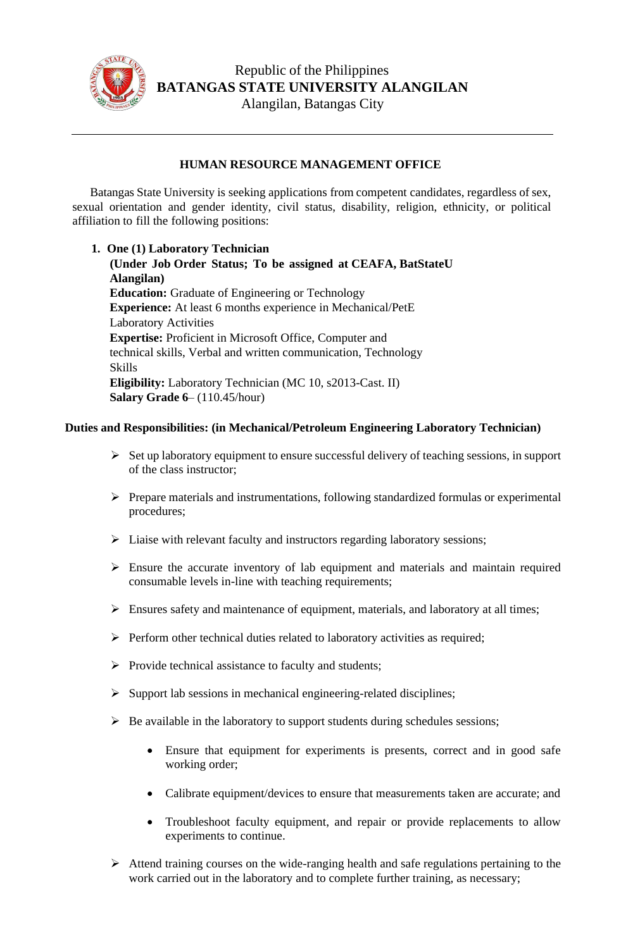

## **HUMAN RESOURCE MANAGEMENT OFFICE**

Batangas State University is seeking applications from competent candidates, regardless of sex, sexual orientation and gender identity, civil status, disability, religion, ethnicity, or political affiliation to fill the following positions:

**1. One (1) Laboratory Technician (Under Job Order Status; To be assigned at CEAFA, BatStateU Alangilan) Education:** Graduate of Engineering or Technology **Experience:** At least 6 months experience in Mechanical/PetE Laboratory Activities **Expertise:** Proficient in Microsoft Office, Computer and technical skills, Verbal and written communication, Technology Skills **Eligibility:** Laboratory Technician (MC 10, s2013-Cast. II) **Salary Grade 6**– (110.45/hour)

## **Duties and Responsibilities: (in Mechanical/Petroleum Engineering Laboratory Technician)**

- ➢ Set up laboratory equipment to ensure successful delivery of teaching sessions, in support of the class instructor;
- ➢ Prepare materials and instrumentations, following standardized formulas or experimental procedures;
- ➢ Liaise with relevant faculty and instructors regarding laboratory sessions;
- ➢ Ensure the accurate inventory of lab equipment and materials and maintain required consumable levels in-line with teaching requirements;
- ➢ Ensures safety and maintenance of equipment, materials, and laboratory at all times;
- ➢ Perform other technical duties related to laboratory activities as required;
- $\triangleright$  Provide technical assistance to faculty and students;
- ➢ Support lab sessions in mechanical engineering-related disciplines;
- $\triangleright$  Be available in the laboratory to support students during schedules sessions;
	- Ensure that equipment for experiments is presents, correct and in good safe working order;
	- Calibrate equipment/devices to ensure that measurements taken are accurate; and
	- Troubleshoot faculty equipment, and repair or provide replacements to allow experiments to continue.
- ➢ Attend training courses on the wide-ranging health and safe regulations pertaining to the work carried out in the laboratory and to complete further training, as necessary;